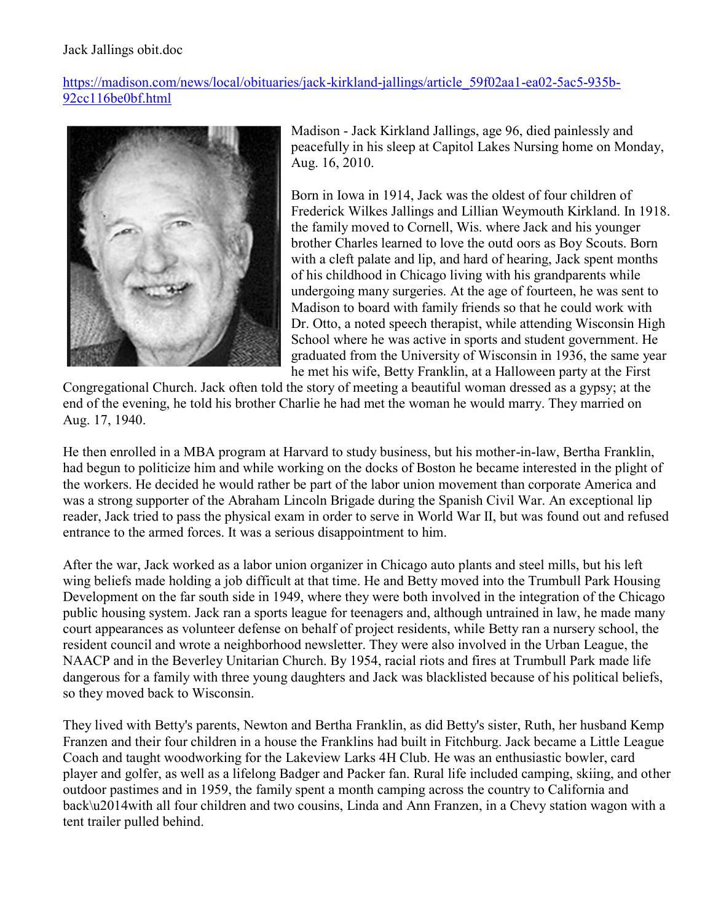## Jack Jallings obit.doc

[https://madison.com/news/local/obituaries/jack-kirkland-jallings/article\\_59f02aa1-ea02-5ac5-935b-](https://madison.com/news/local/obituaries/jack-kirkland-jallings/article_59f02aa1-ea02-5ac5-935b-92cc116be0bf.html)[92cc116be0bf.html](https://madison.com/news/local/obituaries/jack-kirkland-jallings/article_59f02aa1-ea02-5ac5-935b-92cc116be0bf.html)



Madison - Jack Kirkland Jallings, age 96, died painlessly and peacefully in his sleep at Capitol Lakes Nursing home on Monday, Aug. 16, 2010.

Born in Iowa in 1914, Jack was the oldest of four children of Frederick Wilkes Jallings and Lillian Weymouth Kirkland. In 1918. the family moved to Cornell, Wis. where Jack and his younger brother Charles learned to love the outd oors as Boy Scouts. Born with a cleft palate and lip, and hard of hearing, Jack spent months of his childhood in Chicago living with his grandparents while undergoing many surgeries. At the age of fourteen, he was sent to Madison to board with family friends so that he could work with Dr. Otto, a noted speech therapist, while attending Wisconsin High School where he was active in sports and student government. He graduated from the University of Wisconsin in 1936, the same year he met his wife, Betty Franklin, at a Halloween party at the First

Congregational Church. Jack often told the story of meeting a beautiful woman dressed as a gypsy; at the end of the evening, he told his brother Charlie he had met the woman he would marry. They married on Aug. 17, 1940.

He then enrolled in a MBA program at Harvard to study business, but his mother-in-law, Bertha Franklin, had begun to politicize him and while working on the docks of Boston he became interested in the plight of the workers. He decided he would rather be part of the labor union movement than corporate America and was a strong supporter of the Abraham Lincoln Brigade during the Spanish Civil War. An exceptional lip reader, Jack tried to pass the physical exam in order to serve in World War II, but was found out and refused entrance to the armed forces. It was a serious disappointment to him.

After the war, Jack worked as a labor union organizer in Chicago auto plants and steel mills, but his left wing beliefs made holding a job difficult at that time. He and Betty moved into the Trumbull Park Housing Development on the far south side in 1949, where they were both involved in the integration of the Chicago public housing system. Jack ran a sports league for teenagers and, although untrained in law, he made many court appearances as volunteer defense on behalf of project residents, while Betty ran a nursery school, the resident council and wrote a neighborhood newsletter. They were also involved in the Urban League, the NAACP and in the Beverley Unitarian Church. By 1954, racial riots and fires at Trumbull Park made life dangerous for a family with three young daughters and Jack was blacklisted because of his political beliefs, so they moved back to Wisconsin.

They lived with Betty's parents, Newton and Bertha Franklin, as did Betty's sister, Ruth, her husband Kemp Franzen and their four children in a house the Franklins had built in Fitchburg. Jack became a Little League Coach and taught woodworking for the Lakeview Larks 4H Club. He was an enthusiastic bowler, card player and golfer, as well as a lifelong Badger and Packer fan. Rural life included camping, skiing, and other outdoor pastimes and in 1959, the family spent a month camping across the country to California and back\u2014with all four children and two cousins, Linda and Ann Franzen, in a Chevy station wagon with a tent trailer pulled behind.